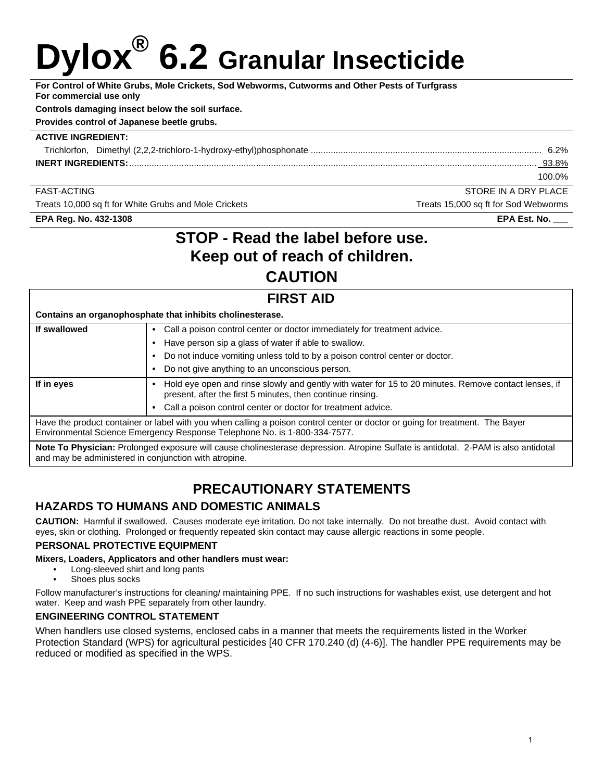# **Dylox® 6.2 Granular Insecticide**

**For Control of White Grubs, Mole Crickets, Sod Webworms, Cutworms and Other Pests of Turfgrass For commercial use only** 

#### **Controls damaging insect below the soil surface.**

**Provides control of Japanese beetle grubs.** 

#### **ACTIVE INGREDIENT:**

| Trichlorfon. |              |
|--------------|--------------|
|              | <u>93.8%</u> |
|              | 100.0%       |

FAST-ACTING STORE IN A DRY PLACE

Treats 10,000 sq ft for White Grubs and Mole Crickets Treats Treats 15,000 sq ft for Sod Webworms

**EPA Reg. No. 432-1308 EPA Est. No. \_\_\_** 

## **STOP - Read the label before use. Keep out of reach of children. CAUTION**

## **FIRST AID Contains an organophosphate that inhibits cholinesterase. If swallowed • Call a poison control center or doctor immediately for treatment advice. •** Have person sip a glass of water if able to swallow. **•** Do not induce vomiting unless told to by a poison control center or doctor. **•** Do not give anything to an unconscious person. **If in eyes • Hold eye open and rinse slowly and gently with water for 15 to 20 minutes. Remove contact lenses, if** present, after the first 5 minutes, then continue rinsing. **•** Call a poison control center or doctor for treatment advice. Have the product container or label with you when calling a poison control center or doctor or going for treatment. The Bayer Environmental Science Emergency Response Telephone No. is 1-800-334-7577.

**Note To Physician:** Prolonged exposure will cause cholinesterase depression. Atropine Sulfate is antidotal. 2-PAM is also antidotal and may be administered in conjunction with atropine. 

# **PRECAUTIONARY STATEMENTS**

## **HAZARDS TO HUMANS AND DOMESTIC ANIMALS**

**CAUTION:** Harmful if swallowed. Causes moderate eye irritation. Do not take internally. Do not breathe dust. Avoid contact with eyes, skin or clothing. Prolonged or frequently repeated skin contact may cause allergic reactions in some people.

### **PERSONAL PROTECTIVE EQUIPMENT**

#### **Mixers, Loaders, Applicators and other handlers must wear:**

- Long-sleeved shirt and long pants
- Shoes plus socks

Follow manufacturer's instructions for cleaning/ maintaining PPE. If no such instructions for washables exist, use detergent and hot water. Keep and wash PPE separately from other laundry.

### **ENGINEERING CONTROL STATEMENT**

When handlers use closed systems, enclosed cabs in a manner that meets the requirements listed in the Worker Protection Standard (WPS) for agricultural pesticides [40 CFR 170.240 (d) (4-6)]. The handler PPE requirements may be reduced or modified as specified in the WPS.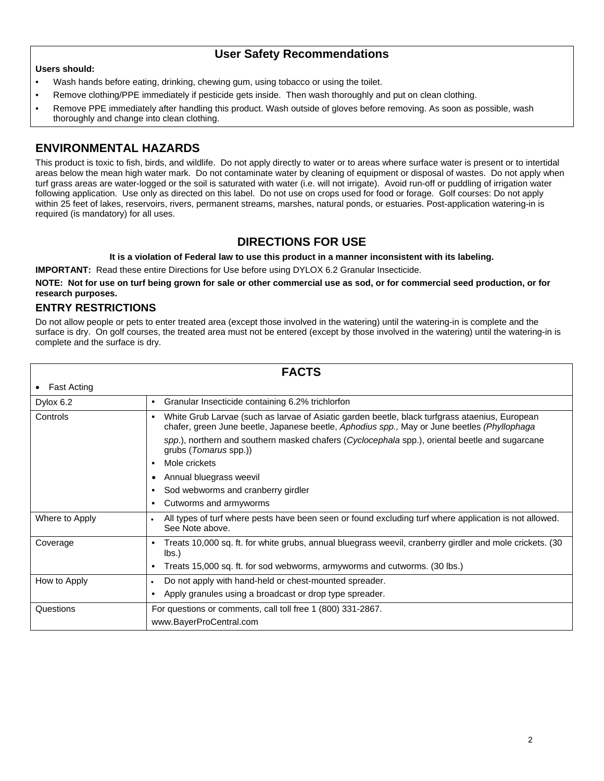## **User Safety Recommendations**

#### **Users should:**

- Wash hands before eating, drinking, chewing gum, using tobacco or using the toilet.
- Remove clothing/PPE immediately if pesticide gets inside. Then wash thoroughly and put on clean clothing.
- Remove PPE immediately after handling this product. Wash outside of gloves before removing. As soon as possible, wash thoroughly and change into clean clothing.

## **ENVIRONMENTAL HAZARDS**

This product is toxic to fish, birds, and wildlife. Do not apply directly to water or to areas where surface water is present or to intertidal areas below the mean high water mark. Do not contaminate water by cleaning of equipment or disposal of wastes. Do not apply when turf grass areas are water-logged or the soil is saturated with water (i.e. will not irrigate). Avoid run-off or puddling of irrigation water following application. Use only as directed on this label. Do not use on crops used for food or forage. Golf courses: Do not apply within 25 feet of lakes, reservoirs, rivers, permanent streams, marshes, natural ponds, or estuaries. Post-application watering-in is required (is mandatory) for all uses.

## **DIRECTIONS FOR USE**

#### **It is a violation of Federal law to use this product in a manner inconsistent with its labeling.**

**IMPORTANT:** Read these entire Directions for Use before using DYLOX 6.2 Granular Insecticide.

**NOTE: Not for use on turf being grown for sale or other commercial use as sod, or for commercial seed production, or for research purposes.** 

## **ENTRY RESTRICTIONS**

Do not allow people or pets to enter treated area (except those involved in the watering) until the watering-in is complete and the surface is dry. On golf courses, the treated area must not be entered (except by those involved in the watering) until the watering-in is complete and the surface is dry.

|                    | <b>FACTS</b>                                                                                                                                                                                               |
|--------------------|------------------------------------------------------------------------------------------------------------------------------------------------------------------------------------------------------------|
| <b>Fast Acting</b> |                                                                                                                                                                                                            |
| Dylox 6.2          | Granular Insecticide containing 6.2% trichlorfon<br>٠                                                                                                                                                      |
| Controls           | White Grub Larvae (such as larvae of Asiatic garden beetle, black turfgrass ataenius, European<br>$\bullet$<br>chafer, green June beetle, Japanese beetle, Aphodius spp., May or June beetles (Phyllophaga |
|                    | spp.), northern and southern masked chafers (Cyclocephala spp.), oriental beetle and sugarcane<br>grubs ( <i>Tomarus</i> spp.))                                                                            |
|                    | Mole crickets<br>$\bullet$                                                                                                                                                                                 |
|                    | Annual bluegrass weevil                                                                                                                                                                                    |
|                    | Sod webworms and cranberry girdler                                                                                                                                                                         |
|                    | Cutworms and armyworms<br>٠                                                                                                                                                                                |
| Where to Apply     | All types of turf where pests have been seen or found excluding turf where application is not allowed.<br>$\bullet$<br>See Note above.                                                                     |
| Coverage           | Treats 10,000 sq. ft. for white grubs, annual bluegrass weevil, cranberry girdler and mole crickets. (30<br>٠<br>$ $ lbs. $)$                                                                              |
|                    | Treats 15,000 sq. ft. for sod webworms, armyworms and cutworms. (30 lbs.)                                                                                                                                  |
| How to Apply       | Do not apply with hand-held or chest-mounted spreader.<br>$\bullet$                                                                                                                                        |
|                    | Apply granules using a broadcast or drop type spreader.                                                                                                                                                    |
| Questions          | For questions or comments, call toll free 1 (800) 331-2867.                                                                                                                                                |
|                    | www.BayerProCentral.com                                                                                                                                                                                    |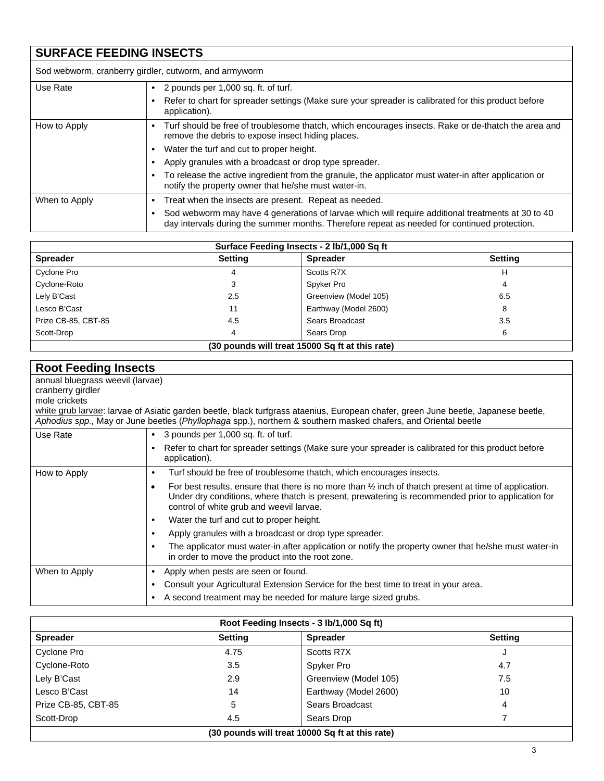## **SURFACE FEEDING INSECTS**

|               | Sod webworm, cranberry girdler, cutworm, and armyworm                                                                                                                                             |
|---------------|---------------------------------------------------------------------------------------------------------------------------------------------------------------------------------------------------|
| Use Rate      | 2 pounds per 1,000 sq. ft. of turf.                                                                                                                                                               |
|               | Refer to chart for spreader settings (Make sure your spreader is calibrated for this product before<br>application).                                                                              |
| How to Apply  | Turf should be free of troublesome thatch, which encourages insects. Rake or de-thatch the area and<br>remove the debris to expose insect hiding places.                                          |
|               | Water the turf and cut to proper height.                                                                                                                                                          |
|               | Apply granules with a broadcast or drop type spreader.                                                                                                                                            |
|               | To release the active ingredient from the granule, the applicator must water-in after application or<br>notify the property owner that he/she must water-in.                                      |
| When to Apply | Treat when the insects are present. Repeat as needed.                                                                                                                                             |
|               | Sod webworm may have 4 generations of larvae which will require additional treatments at 30 to 40<br>day intervals during the summer months. Therefore repeat as needed for continued protection. |

| Surface Feeding Insects - 2 lb/1,000 Sq ft      |                |                       |                |
|-------------------------------------------------|----------------|-----------------------|----------------|
| <b>Spreader</b>                                 | <b>Setting</b> | <b>Spreader</b>       | <b>Setting</b> |
| Cyclone Pro                                     | 4              | Scotts R7X            | н              |
| Cyclone-Roto                                    | 3              | Spyker Pro            | 4              |
| Lely B'Cast                                     | $2.5\,$        | Greenview (Model 105) | 6.5            |
| Lesco B'Cast                                    | 11             | Earthway (Model 2600) |                |
| Prize CB-85, CBT-85                             | 4.5            | Sears Broadcast       | 3.5            |
| Scott-Drop                                      | 4              | Sears Drop            | 6              |
| (30 pounds will treat 15000 Sq ft at this rate) |                |                       |                |

## **Root Feeding Insects**

annual bluegrass weevil (larvae)

cranberry girdler

mole crickets

white grub larvae: larvae of Asiatic garden beetle, black turfgrass ataenius, European chafer, green June beetle, Japanese beetle, *Aphodius spp.,* May or June beetles (*Phyllophaga* spp.), northern & southern masked chafers, and Oriental beetle

| Use Rate      | 3 pounds per 1,000 sq. ft. of turf.                                                                                                                                                                                                                                |
|---------------|--------------------------------------------------------------------------------------------------------------------------------------------------------------------------------------------------------------------------------------------------------------------|
|               | Refer to chart for spreader settings (Make sure your spreader is calibrated for this product before<br>application).                                                                                                                                               |
| How to Apply  | Turf should be free of troublesome thatch, which encourages insects.                                                                                                                                                                                               |
|               | For best results, ensure that there is no more than $\frac{1}{2}$ inch of thatch present at time of application.<br>Under dry conditions, where thatch is present, prewatering is recommended prior to application for<br>control of white grub and weevil larvae. |
|               | Water the turf and cut to proper height.                                                                                                                                                                                                                           |
|               | Apply granules with a broadcast or drop type spreader.                                                                                                                                                                                                             |
|               | The applicator must water-in after application or notify the property owner that he/she must water-in<br>in order to move the product into the root zone.                                                                                                          |
| When to Apply | Apply when pests are seen or found.                                                                                                                                                                                                                                |
|               | Consult your Agricultural Extension Service for the best time to treat in your area.                                                                                                                                                                               |
|               | A second treatment may be needed for mature large sized grubs.                                                                                                                                                                                                     |

| Root Feeding Insects - 3 lb/1,000 Sq ft)        |                |                       |                |
|-------------------------------------------------|----------------|-----------------------|----------------|
| <b>Spreader</b>                                 | <b>Setting</b> | <b>Spreader</b>       | <b>Setting</b> |
| Cyclone Pro                                     | 4.75           | Scotts R7X            |                |
| Cyclone-Roto                                    | 3.5            | Spyker Pro            | 4.7            |
| Lely B'Cast                                     | 2.9            | Greenview (Model 105) | 7.5            |
| Lesco B'Cast                                    | 14             | Earthway (Model 2600) | 10             |
| Prize CB-85, CBT-85                             | 5              | Sears Broadcast       | 4              |
| Scott-Drop                                      | 4.5            | Sears Drop            |                |
| (30 pounds will treat 10000 Sq ft at this rate) |                |                       |                |